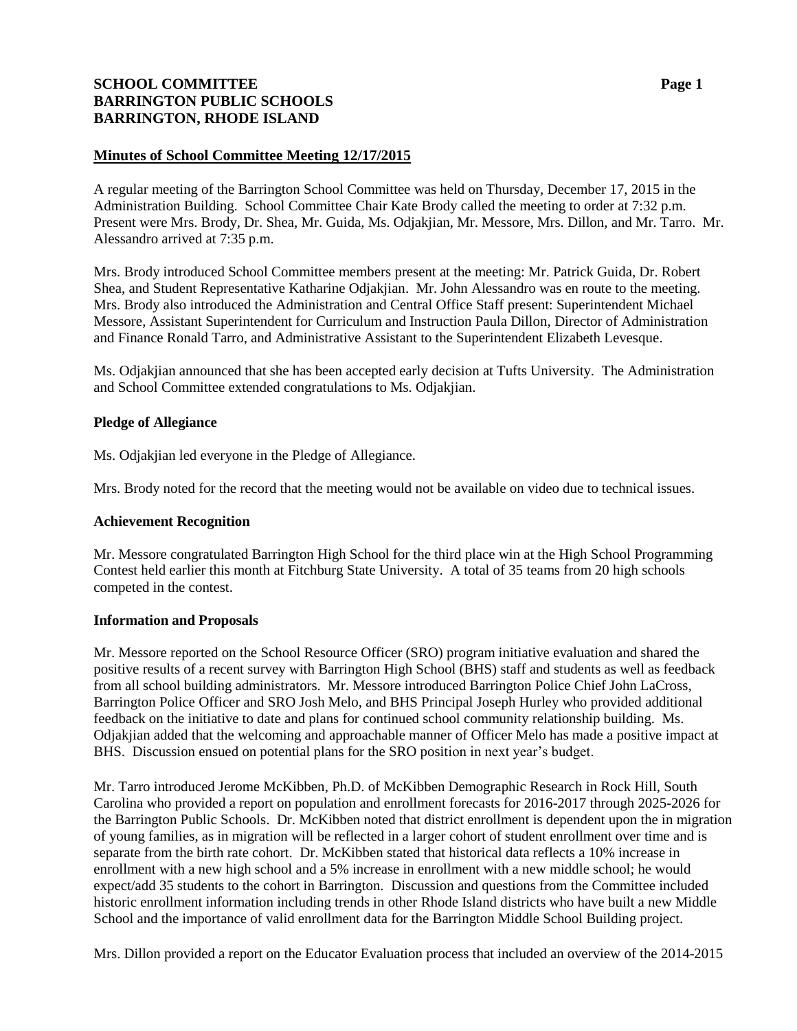# **SCHOOL COMMITTEE Page 1 BARRINGTON PUBLIC SCHOOLS BARRINGTON, RHODE ISLAND**

## **Minutes of School Committee Meeting 12/17/2015**

A regular meeting of the Barrington School Committee was held on Thursday, December 17, 2015 in the Administration Building. School Committee Chair Kate Brody called the meeting to order at 7:32 p.m. Present were Mrs. Brody, Dr. Shea, Mr. Guida, Ms. Odjakjian, Mr. Messore, Mrs. Dillon, and Mr. Tarro. Mr. Alessandro arrived at 7:35 p.m.

Mrs. Brody introduced School Committee members present at the meeting: Mr. Patrick Guida, Dr. Robert Shea, and Student Representative Katharine Odjakjian. Mr. John Alessandro was en route to the meeting. Mrs. Brody also introduced the Administration and Central Office Staff present: Superintendent Michael Messore, Assistant Superintendent for Curriculum and Instruction Paula Dillon, Director of Administration and Finance Ronald Tarro, and Administrative Assistant to the Superintendent Elizabeth Levesque.

Ms. Odjakjian announced that she has been accepted early decision at Tufts University. The Administration and School Committee extended congratulations to Ms. Odjakjian.

### **Pledge of Allegiance**

Ms. Odjakjian led everyone in the Pledge of Allegiance.

Mrs. Brody noted for the record that the meeting would not be available on video due to technical issues.

### **Achievement Recognition**

Mr. Messore congratulated Barrington High School for the third place win at the High School Programming Contest held earlier this month at Fitchburg State University. A total of 35 teams from 20 high schools competed in the contest.

### **Information and Proposals**

Mr. Messore reported on the School Resource Officer (SRO) program initiative evaluation and shared the positive results of a recent survey with Barrington High School (BHS) staff and students as well as feedback from all school building administrators. Mr. Messore introduced Barrington Police Chief John LaCross, Barrington Police Officer and SRO Josh Melo, and BHS Principal Joseph Hurley who provided additional feedback on the initiative to date and plans for continued school community relationship building. Ms. Odjakjian added that the welcoming and approachable manner of Officer Melo has made a positive impact at BHS. Discussion ensued on potential plans for the SRO position in next year's budget.

Mr. Tarro introduced Jerome McKibben, Ph.D. of McKibben Demographic Research in Rock Hill, South Carolina who provided a report on population and enrollment forecasts for 2016-2017 through 2025-2026 for the Barrington Public Schools. Dr. McKibben noted that district enrollment is dependent upon the in migration of young families, as in migration will be reflected in a larger cohort of student enrollment over time and is separate from the birth rate cohort. Dr. McKibben stated that historical data reflects a 10% increase in enrollment with a new high school and a 5% increase in enrollment with a new middle school; he would expect/add 35 students to the cohort in Barrington. Discussion and questions from the Committee included historic enrollment information including trends in other Rhode Island districts who have built a new Middle School and the importance of valid enrollment data for the Barrington Middle School Building project.

Mrs. Dillon provided a report on the Educator Evaluation process that included an overview of the 2014-2015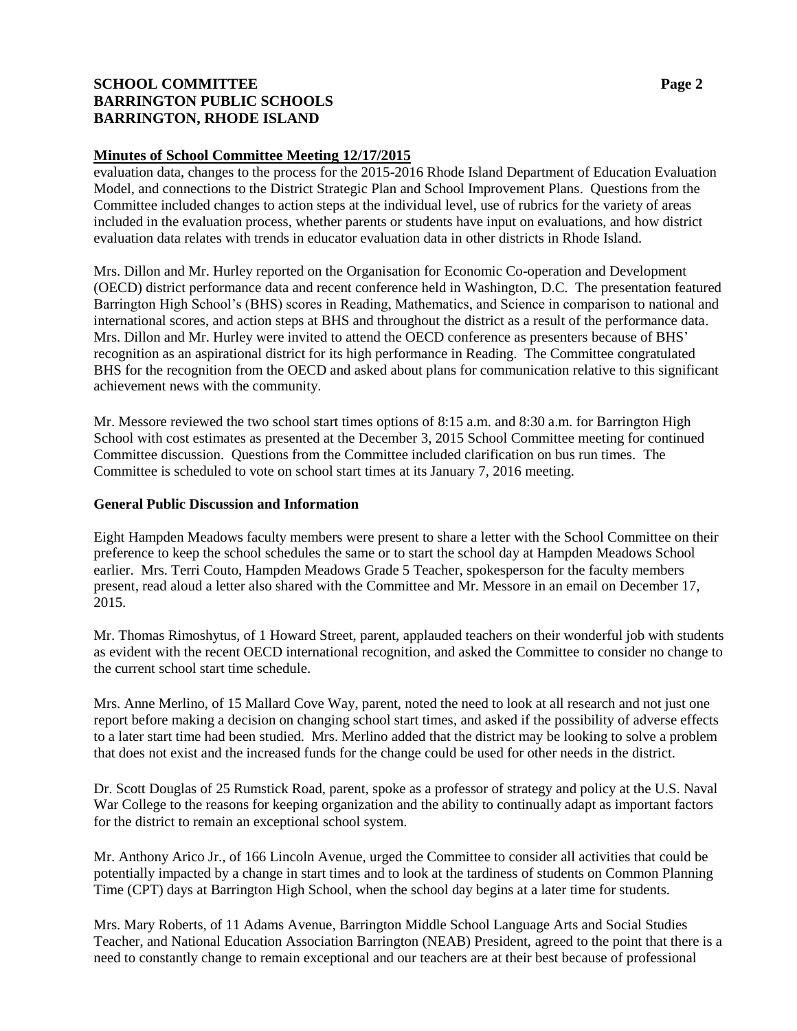# **SCHOOL COMMITTEE Page 2 BARRINGTON PUBLIC SCHOOLS BARRINGTON, RHODE ISLAND**

### **Minutes of School Committee Meeting 12/17/2015**

evaluation data, changes to the process for the 2015-2016 Rhode Island Department of Education Evaluation Model, and connections to the District Strategic Plan and School Improvement Plans. Questions from the Committee included changes to action steps at the individual level, use of rubrics for the variety of areas included in the evaluation process, whether parents or students have input on evaluations, and how district evaluation data relates with trends in educator evaluation data in other districts in Rhode Island.

Mrs. Dillon and Mr. Hurley reported on the Organisation for Economic Co-operation and Development (OECD) district performance data and recent conference held in Washington, D.C. The presentation featured Barrington High School's (BHS) scores in Reading, Mathematics, and Science in comparison to national and international scores, and action steps at BHS and throughout the district as a result of the performance data. Mrs. Dillon and Mr. Hurley were invited to attend the OECD conference as presenters because of BHS' recognition as an aspirational district for its high performance in Reading. The Committee congratulated BHS for the recognition from the OECD and asked about plans for communication relative to this significant achievement news with the community.

Mr. Messore reviewed the two school start times options of 8:15 a.m. and 8:30 a.m. for Barrington High School with cost estimates as presented at the December 3, 2015 School Committee meeting for continued Committee discussion. Questions from the Committee included clarification on bus run times. The Committee is scheduled to vote on school start times at its January 7, 2016 meeting.

### **General Public Discussion and Information**

Eight Hampden Meadows faculty members were present to share a letter with the School Committee on their preference to keep the school schedules the same or to start the school day at Hampden Meadows School earlier. Mrs. Terri Couto, Hampden Meadows Grade 5 Teacher, spokesperson for the faculty members present, read aloud a letter also shared with the Committee and Mr. Messore in an email on December 17, 2015.

Mr. Thomas Rimoshytus, of 1 Howard Street, parent, applauded teachers on their wonderful job with students as evident with the recent OECD international recognition, and asked the Committee to consider no change to the current school start time schedule.

Mrs. Anne Merlino, of 15 Mallard Cove Way, parent, noted the need to look at all research and not just one report before making a decision on changing school start times, and asked if the possibility of adverse effects to a later start time had been studied. Mrs. Merlino added that the district may be looking to solve a problem that does not exist and the increased funds for the change could be used for other needs in the district.

Dr. Scott Douglas of 25 Rumstick Road, parent, spoke as a professor of strategy and policy at the U.S. Naval War College to the reasons for keeping organization and the ability to continually adapt as important factors for the district to remain an exceptional school system.

Mr. Anthony Arico Jr., of 166 Lincoln Avenue, urged the Committee to consider all activities that could be potentially impacted by a change in start times and to look at the tardiness of students on Common Planning Time (CPT) days at Barrington High School, when the school day begins at a later time for students.

Mrs. Mary Roberts, of 11 Adams Avenue, Barrington Middle School Language Arts and Social Studies Teacher, and National Education Association Barrington (NEAB) President, agreed to the point that there is a need to constantly change to remain exceptional and our teachers are at their best because of professional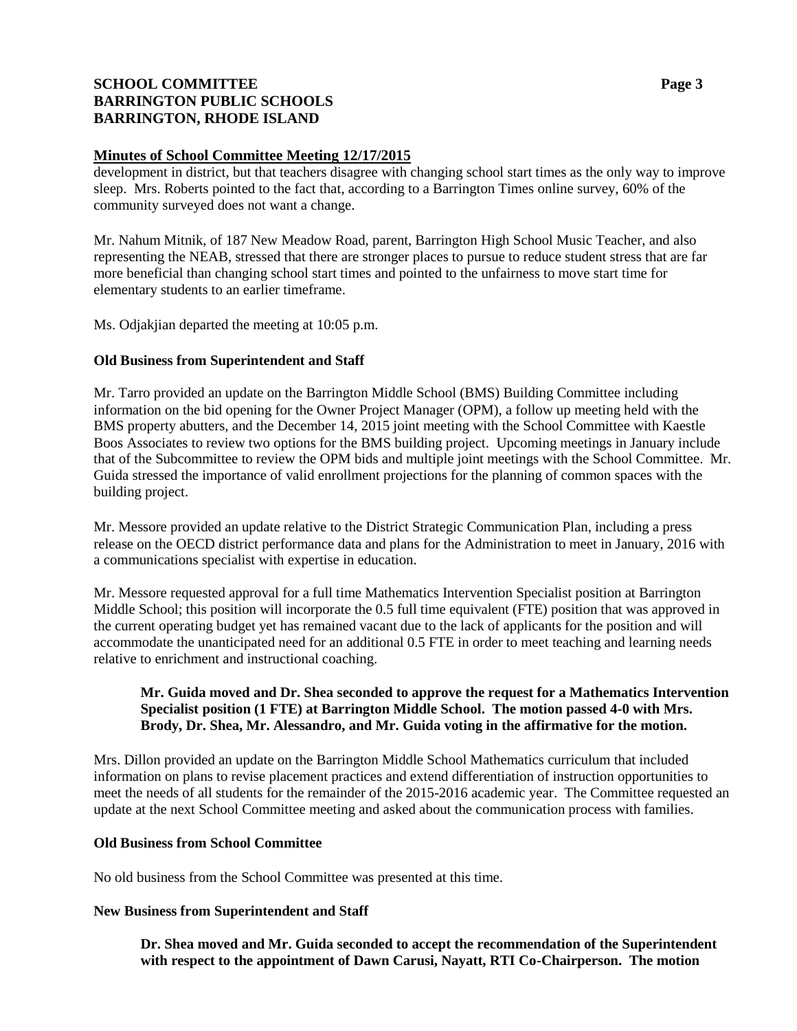# **SCHOOL COMMITTEE Page 3 BARRINGTON PUBLIC SCHOOLS BARRINGTON, RHODE ISLAND**

### **Minutes of School Committee Meeting 12/17/2015**

development in district, but that teachers disagree with changing school start times as the only way to improve sleep. Mrs. Roberts pointed to the fact that, according to a Barrington Times online survey, 60% of the community surveyed does not want a change.

Mr. Nahum Mitnik, of 187 New Meadow Road, parent, Barrington High School Music Teacher, and also representing the NEAB, stressed that there are stronger places to pursue to reduce student stress that are far more beneficial than changing school start times and pointed to the unfairness to move start time for elementary students to an earlier timeframe.

Ms. Odjakjian departed the meeting at 10:05 p.m.

## **Old Business from Superintendent and Staff**

Mr. Tarro provided an update on the Barrington Middle School (BMS) Building Committee including information on the bid opening for the Owner Project Manager (OPM), a follow up meeting held with the BMS property abutters, and the December 14, 2015 joint meeting with the School Committee with Kaestle Boos Associates to review two options for the BMS building project. Upcoming meetings in January include that of the Subcommittee to review the OPM bids and multiple joint meetings with the School Committee. Mr. Guida stressed the importance of valid enrollment projections for the planning of common spaces with the building project.

Mr. Messore provided an update relative to the District Strategic Communication Plan, including a press release on the OECD district performance data and plans for the Administration to meet in January, 2016 with a communications specialist with expertise in education.

Mr. Messore requested approval for a full time Mathematics Intervention Specialist position at Barrington Middle School; this position will incorporate the 0.5 full time equivalent (FTE) position that was approved in the current operating budget yet has remained vacant due to the lack of applicants for the position and will accommodate the unanticipated need for an additional 0.5 FTE in order to meet teaching and learning needs relative to enrichment and instructional coaching.

### **Mr. Guida moved and Dr. Shea seconded to approve the request for a Mathematics Intervention Specialist position (1 FTE) at Barrington Middle School. The motion passed 4-0 with Mrs. Brody, Dr. Shea, Mr. Alessandro, and Mr. Guida voting in the affirmative for the motion.**

Mrs. Dillon provided an update on the Barrington Middle School Mathematics curriculum that included information on plans to revise placement practices and extend differentiation of instruction opportunities to meet the needs of all students for the remainder of the 2015-2016 academic year. The Committee requested an update at the next School Committee meeting and asked about the communication process with families.

### **Old Business from School Committee**

No old business from the School Committee was presented at this time.

### **New Business from Superintendent and Staff**

**Dr. Shea moved and Mr. Guida seconded to accept the recommendation of the Superintendent with respect to the appointment of Dawn Carusi, Nayatt, RTI Co-Chairperson. The motion**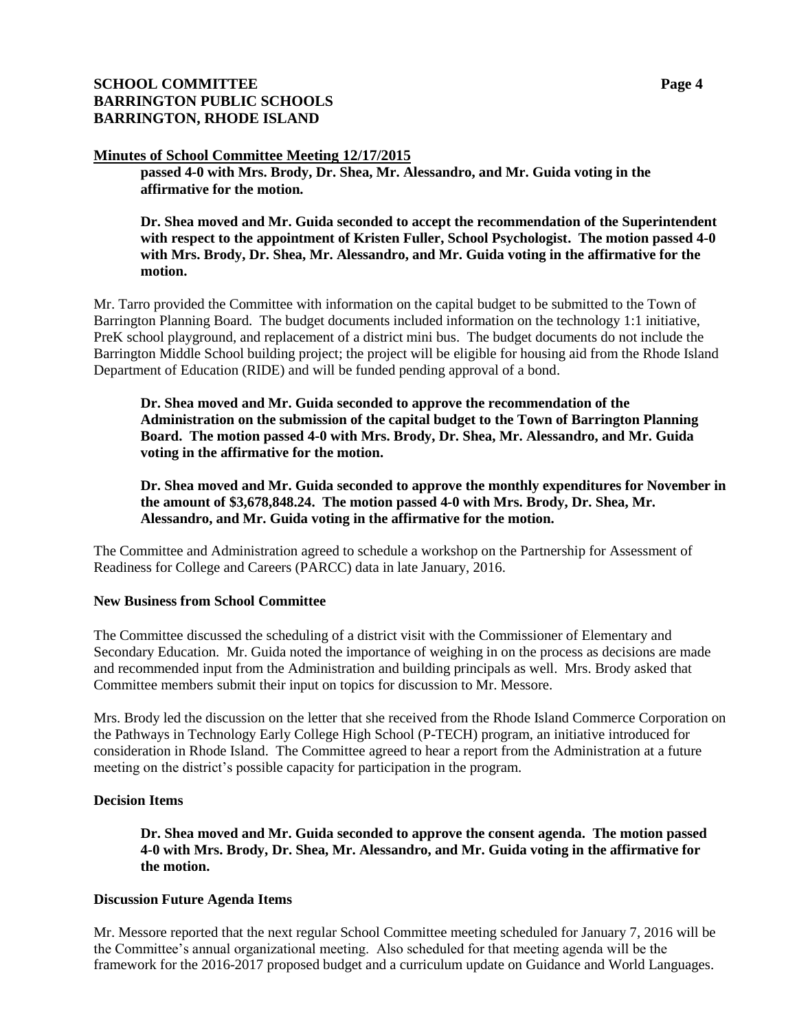# **SCHOOL COMMITTEE Page 4 BARRINGTON PUBLIC SCHOOLS BARRINGTON, RHODE ISLAND**

### **Minutes of School Committee Meeting 12/17/2015**

**passed 4-0 with Mrs. Brody, Dr. Shea, Mr. Alessandro, and Mr. Guida voting in the affirmative for the motion.**

**Dr. Shea moved and Mr. Guida seconded to accept the recommendation of the Superintendent with respect to the appointment of Kristen Fuller, School Psychologist. The motion passed 4-0 with Mrs. Brody, Dr. Shea, Mr. Alessandro, and Mr. Guida voting in the affirmative for the motion.**

Mr. Tarro provided the Committee with information on the capital budget to be submitted to the Town of Barrington Planning Board. The budget documents included information on the technology 1:1 initiative, PreK school playground, and replacement of a district mini bus. The budget documents do not include the Barrington Middle School building project; the project will be eligible for housing aid from the Rhode Island Department of Education (RIDE) and will be funded pending approval of a bond.

**Dr. Shea moved and Mr. Guida seconded to approve the recommendation of the Administration on the submission of the capital budget to the Town of Barrington Planning Board. The motion passed 4-0 with Mrs. Brody, Dr. Shea, Mr. Alessandro, and Mr. Guida voting in the affirmative for the motion.**

**Dr. Shea moved and Mr. Guida seconded to approve the monthly expenditures for November in the amount of \$3,678,848.24. The motion passed 4-0 with Mrs. Brody, Dr. Shea, Mr. Alessandro, and Mr. Guida voting in the affirmative for the motion.**

The Committee and Administration agreed to schedule a workshop on the Partnership for Assessment of Readiness for College and Careers (PARCC) data in late January, 2016.

### **New Business from School Committee**

The Committee discussed the scheduling of a district visit with the Commissioner of Elementary and Secondary Education. Mr. Guida noted the importance of weighing in on the process as decisions are made and recommended input from the Administration and building principals as well. Mrs. Brody asked that Committee members submit their input on topics for discussion to Mr. Messore.

Mrs. Brody led the discussion on the letter that she received from the Rhode Island Commerce Corporation on the Pathways in Technology Early College High School (P-TECH) program, an initiative introduced for consideration in Rhode Island. The Committee agreed to hear a report from the Administration at a future meeting on the district's possible capacity for participation in the program.

### **Decision Items**

**Dr. Shea moved and Mr. Guida seconded to approve the consent agenda. The motion passed 4-0 with Mrs. Brody, Dr. Shea, Mr. Alessandro, and Mr. Guida voting in the affirmative for the motion.**

### **Discussion Future Agenda Items**

Mr. Messore reported that the next regular School Committee meeting scheduled for January 7, 2016 will be the Committee's annual organizational meeting. Also scheduled for that meeting agenda will be the framework for the 2016-2017 proposed budget and a curriculum update on Guidance and World Languages.